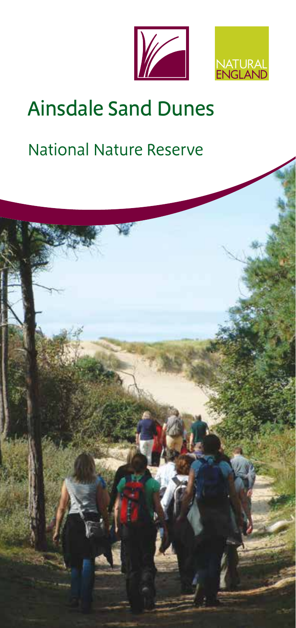



# Ainsdale Sand Dunes

# National Nature Reserve

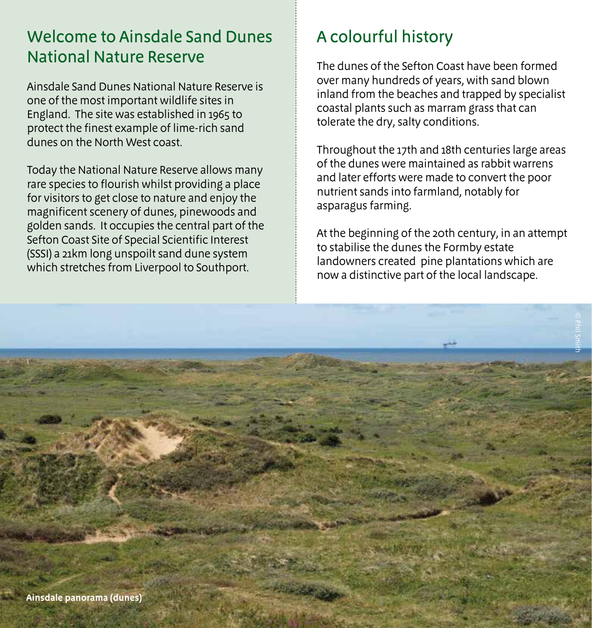### Welcome to Ainsdale Sand Dunes National Nature Reserve

Ainsdale Sand Dunes National Nature Reserve is one of the most important wildlife sites in England. The site was established in 1965 to protect the finest example of lime-rich sand dunes on the North West coast.

Today the National Nature Reserve allows many rare species to flourish whilst providing a place for visitors to get close to nature and enjoy the magnificent scenery of dunes, pinewoods and golden sands. It occupies the central part of the Sefton Coast Site of Special Scientific Interest (SSSI) a 21km long unspoilt sand dune system which stretches from Liverpool to Southport.

# A colourful history

The dunes of the Sefton Coast have been formed over many hundreds of years, with sand blown inland from the beaches and trapped by specialist coastal plants such as marram grass that can tolerate the dry, salty conditions.

Throughout the 17th and 18th centuries large areas of the dunes were maintained as rabbit warrens and later efforts were made to convert the poor nutrient sands into farmland, notably for asparagus farming.

At the beginning of the 20th century, in an attempt to stabilise the dunes the Formby estate landowners created pine plantations which are now a distinctive part of the local landscape.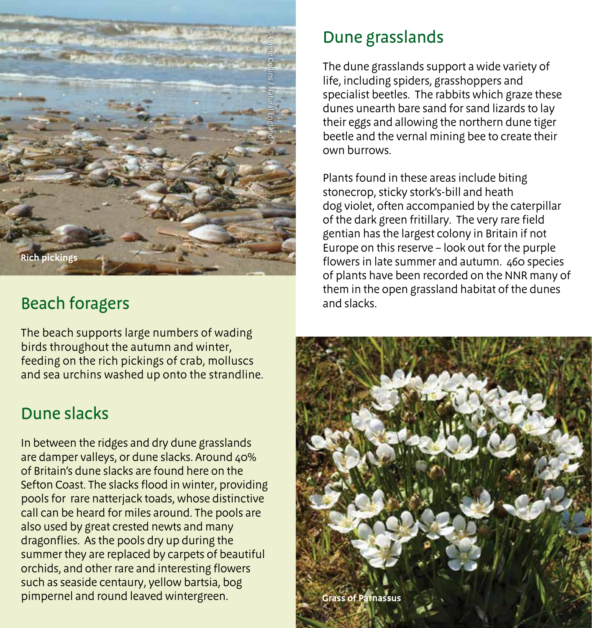

# Beach foragers

The beach supports large numbers of wading birds throughout the autumn and winter, feeding on the rich pickings of crab, molluscs and sea urchins washed up onto the strandline.

#### Dune slacks

In between the ridges and dry dune grasslands are damper valleys, or dune slacks. Around 40% of Britain's dune slacks are found here on the Sefton Coast. The slacks flood in winter, providing pools for rare natterjack toads, whose distinctive call can be heard for miles around. The pools are also used by great crested newts and many dragonflies. As the pools dry up during the summer they are replaced by carpets of beautiful orchids, and other rare and interesting flowers such as seaside centaury, yellow bartsia, bog pimpernel and round leaved wintergreen.

### Dune grasslands

The dune grasslands support a wide variety of life, including spiders, grasshoppers and specialist beetles. The rabbits which graze these dunes unearth bare sand for sand lizards to lay their eggs and allowing the northern dune tiger beetle and the vernal mining bee to create their own burrows.

Plants found in these areas include biting stonecrop, sticky stork's-bill and heath dog violet, often accompanied by the caterpillar of the dark green fritillary. The very rare field gentian has the largest colony in Britain if not Europe on this reserve – look out for the purple flowers in late summer and autumn. 460 species of plants have been recorded on the NNR many of them in the open grassland habitat of the dunes and slacks.

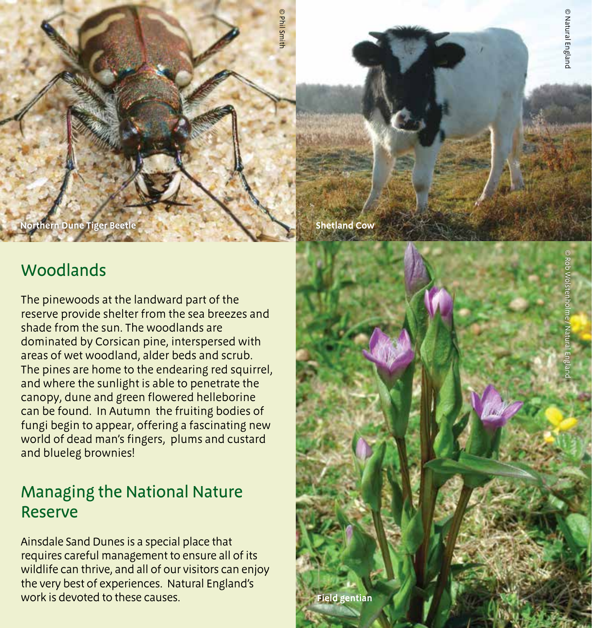**Northern Dune Tiger Beetle Shetland Cow**<br> **Shetland Cow** 

#### Woodlands

The pinewoods at the landward part of the reserve provide shelter from the sea breezes and shade from the sun. The woodlands are dominated by Corsican pine, interspersed with areas of wet woodland, alder beds and scrub. The pines are home to the endearing red squirrel, and where the sunlight is able to penetrate the canopy, dune and green flowered helleborine can be found. In Autumn the fruiting bodies of fungi begin to appear, offering a fascinating new world of dead man's fingers, plums and custard and blueleg brownies!

#### Managing the National Nature Reserve

Ainsdale Sand Dunes is a special place that requires careful management to ensure all of its wildlife can thrive, and all of our visitors can enjoy the very best of experiences. Natural England's work is devoted to these causes.



© Phil Smith

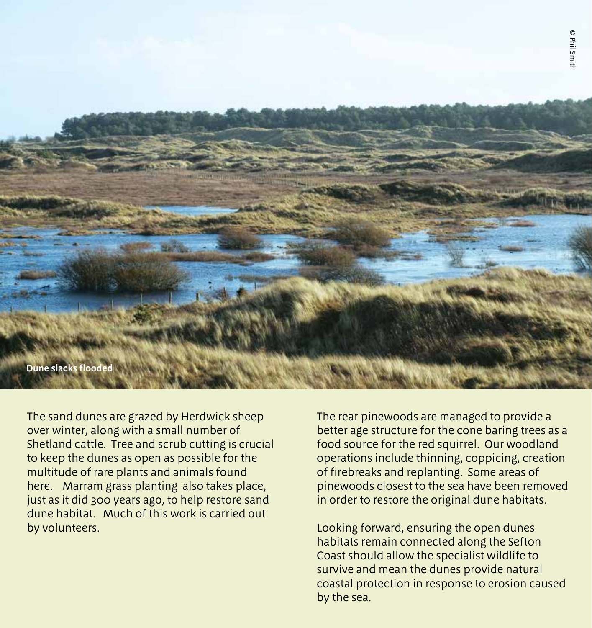

The sand dunes are grazed by Herdwick sheep over winter, along with a small number of Shetland cattle. Tree and scrub cutting is crucial to keep the dunes as open as possible for the multitude of rare plants and animals found here. Marram grass planting also takes place, just as it did 300 years ago, to help restore sand dune habitat. Much of this work is carried out by volunteers.

The rear pinewoods are managed to provide a better age structure for the cone baring trees as a food source for the red squirrel. Our woodland operations include thinning, coppicing, creation of firebreaks and replanting. Some areas of pinewoods closest to the sea have been removed in order to restore the original dune habitats.

Looking forward, ensuring the open dunes habitats remain connected along the Sefton Coast should allow the specialist wildlife to survive and mean the dunes provide natural coastal protection in response to erosion caused by the sea.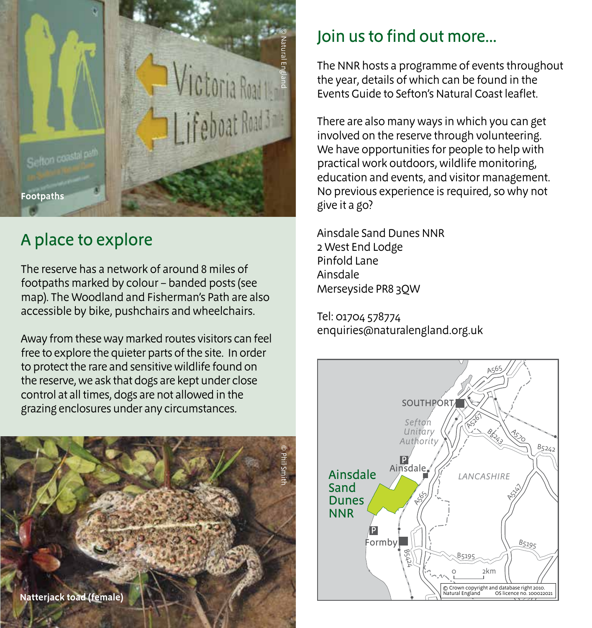

# A place to explore

The reserve has a network of around 8 miles of footpaths marked by colour – banded posts (see map). The Woodland and Fisherman's Path are also accessible by bike, pushchairs and wheelchairs.

Away from these way marked routes visitors can feel free to explore the quieter parts of the site. In order to protect the rare and sensitive wildlife found on the reserve, we ask that dogs are kept under close control at all times, dogs are not allowed in the grazing enclosures under any circumstances.



# Join us to find out more...

The NNR hosts a programme of events throughout the year, details of which can be found in the Events Guide to Sefton's Natural Coast leaflet.

There are also many ways in which you can get involved on the reserve through volunteering. We have opportunities for people to help with practical work outdoors, wildlife monitoring, education and events, and visitor management. No previous experience is required, so why not give it a go?

Ainsdale Sand Dunes NNR 2 West End Lodge Pinfold Lane Ainsdale Merseyside PR8 3QW

Tel: 01704 578774 enquiries@naturalengland.org.uk

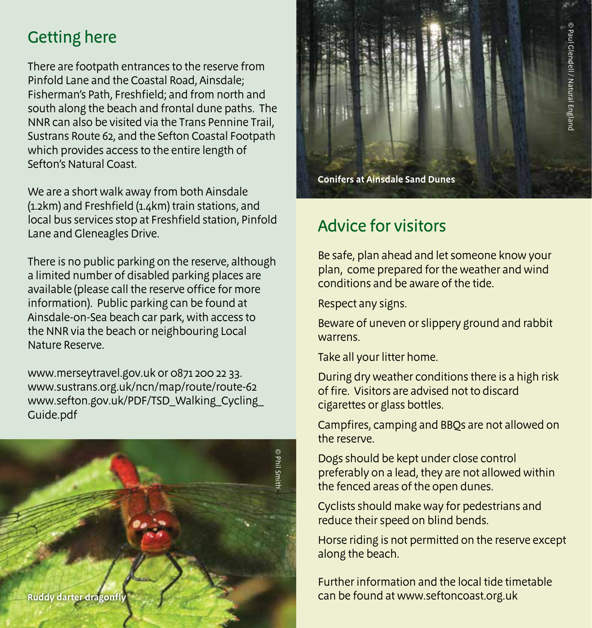# Getting here

There are footpath entrances to the reserve from Pinfold Lane and the Coastal Road, Ainsdale; Fisherman's Path, Freshfield; and from north and south along the beach and frontal dune paths. The NNR can also be visited via the Trans Pennine Trail, Sustrans Route 62, and the Sefton Coastal Footpath which provides access to the entire length of Sefton's Natural Coast.

We are a short walk away from both Ainsdale (1.2km) and Freshfield (1.4km) train stations, and local bus services stop at Freshfield station, Pinfold Lane and Gleneagles Drive.

There is no public parking on the reserve, although a limited number of disabled parking places are available (please call the reserve office for more information). Public parking can be found at Ainsdale-on-Sea beach car park, with access to the NNR via the beach or neighbouring Local Nature Reserve.

www.merseytravel.gov.uk or 0871 200 22 33. www.sustrans.org.uk/ncn/map/route/route-62 www.sefton.gov.uk/PDF/TSD\_Walking\_Cycling\_ Guide.pdf





#### Advice for visitors

Be safe, plan ahead and let someone know your plan, come prepared for the weather and wind conditions and be aware of the tide.

Respect any signs.

Beware of uneven or slippery ground and rabbit warrens.

Take all your litter home.

During dry weather conditions there is a high risk of fire. Visitors are advised not to discard cigarettes or glass bottles.

Campfires, camping and BBQs are not allowed on the reserve.

Dogs should be kept under close control preferably on a lead, they are not allowed within the fenced areas of the open dunes.

Cyclists should make way for pedestrians and reduce their speed on blind bends.

Horse riding is not permitted on the reserve except along the beach.

Further information and the local tide timetable can be found at www.seftoncoast.org.uk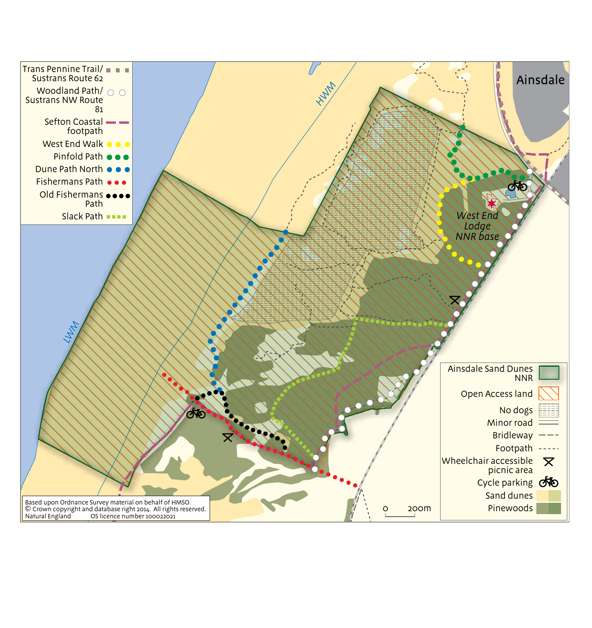